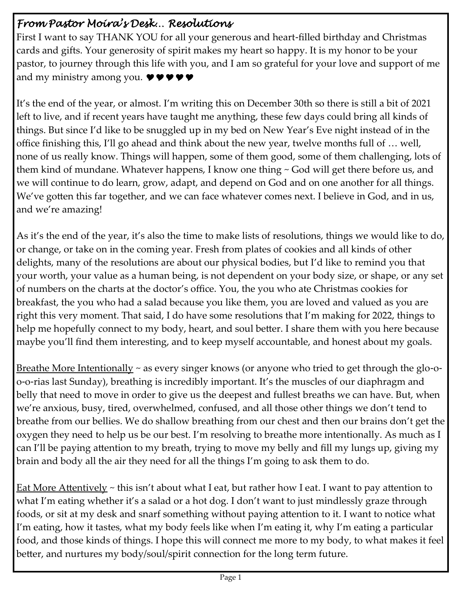### *From Pastor Moira's Desk… Resolutions*

First I want to say THANK YOU for all your generous and heart-filled birthday and Christmas cards and gifts. Your generosity of spirit makes my heart so happy. It is my honor to be your pastor, to journey through this life with you, and I am so grateful for your love and support of me and my ministry among you.  $\bullet \bullet \bullet \bullet$ 

It's the end of the year, or almost. I'm writing this on December 30th so there is still a bit of 2021 left to live, and if recent years have taught me anything, these few days could bring all kinds of things. But since I'd like to be snuggled up in my bed on New Year's Eve night instead of in the office finishing this, I'll go ahead and think about the new year, twelve months full of … well, none of us really know. Things will happen, some of them good, some of them challenging, lots of them kind of mundane. Whatever happens, I know one thing ~ God will get there before us, and we will continue to do learn, grow, adapt, and depend on God and on one another for all things. We've gotten this far together, and we can face whatever comes next. I believe in God, and in us, and we're amazing!

As it's the end of the year, it's also the time to make lists of resolutions, things we would like to do, or change, or take on in the coming year. Fresh from plates of cookies and all kinds of other delights, many of the resolutions are about our physical bodies, but I'd like to remind you that your worth, your value as a human being, is not dependent on your body size, or shape, or any set of numbers on the charts at the doctor's office. You, the you who ate Christmas cookies for breakfast, the you who had a salad because you like them, you are loved and valued as you are right this very moment. That said, I do have some resolutions that I'm making for 2022, things to help me hopefully connect to my body, heart, and soul better. I share them with you here because maybe you'll find them interesting, and to keep myself accountable, and honest about my goals.

<u>Breathe More Intentionally</u> ~ as every singer knows (or anyone who tried to get through the glo-oo-o-rias last Sunday), breathing is incredibly important. It's the muscles of our diaphragm and belly that need to move in order to give us the deepest and fullest breaths we can have. But, when we're anxious, busy, tired, overwhelmed, confused, and all those other things we don't tend to breathe from our bellies. We do shallow breathing from our chest and then our brains don't get the oxygen they need to help us be our best. I'm resolving to breathe more intentionally. As much as I can I'll be paying attention to my breath, trying to move my belly and fill my lungs up, giving my brain and body all the air they need for all the things I'm going to ask them to do.

<u>Eat More Attentively</u>  $\sim$  this isn't about what I eat, but rather how I eat. I want to pay attention to what I'm eating whether it's a salad or a hot dog. I don't want to just mindlessly graze through foods, or sit at my desk and snarf something without paying attention to it. I want to notice what I'm eating, how it tastes, what my body feels like when I'm eating it, why I'm eating a particular food, and those kinds of things. I hope this will connect me more to my body, to what makes it feel better, and nurtures my body/soul/spirit connection for the long term future.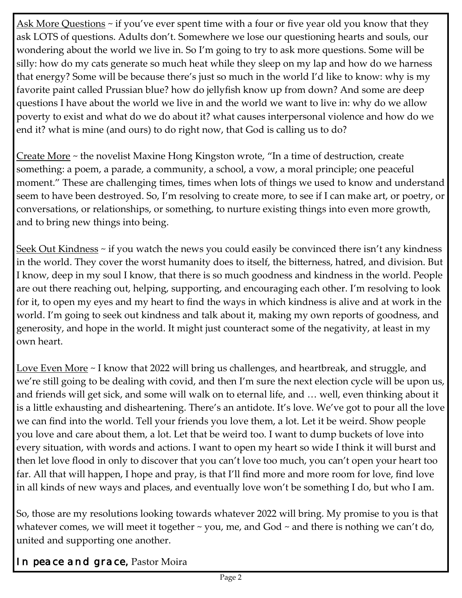<u>Ask More Questions</u> ~ if you've ever spent time with a four or five year old you know that they ask LOTS of questions. Adults don't. Somewhere we lose our questioning hearts and souls, our wondering about the world we live in. So I'm going to try to ask more questions. Some will be silly: how do my cats generate so much heat while they sleep on my lap and how do we harness that energy? Some will be because there's just so much in the world I'd like to know: why is my favorite paint called Prussian blue? how do jellyfish know up from down? And some are deep questions I have about the world we live in and the world we want to live in: why do we allow poverty to exist and what do we do about it? what causes interpersonal violence and how do we end it? what is mine (and ours) to do right now, that God is calling us to do?

Create More ~ the novelist Maxine Hong Kingston wrote, "In a time of destruction, create something: a poem, a parade, a community, a school, a vow, a moral principle; one peaceful moment." These are challenging times, times when lots of things we used to know and understand seem to have been destroyed. So, I'm resolving to create more, to see if I can make art, or poetry, or conversations, or relationships, or something, to nurture existing things into even more growth, and to bring new things into being.

Seek Out Kindness ~ if you watch the news you could easily be convinced there isn't any kindness in the world. They cover the worst humanity does to itself, the bitterness, hatred, and division. But I know, deep in my soul I know, that there is so much goodness and kindness in the world. People are out there reaching out, helping, supporting, and encouraging each other. I'm resolving to look for it, to open my eyes and my heart to find the ways in which kindness is alive and at work in the world. I'm going to seek out kindness and talk about it, making my own reports of goodness, and generosity, and hope in the world. It might just counteract some of the negativity, at least in my own heart.

Love Even More ~ I know that 2022 will bring us challenges, and heartbreak, and struggle, and we're still going to be dealing with covid, and then I'm sure the next election cycle will be upon us, and friends will get sick, and some will walk on to eternal life, and … well, even thinking about it is a little exhausting and disheartening. There's an antidote. It's love. We've got to pour all the love we can find into the world. Tell your friends you love them, a lot. Let it be weird. Show people you love and care about them, a lot. Let that be weird too. I want to dump buckets of love into every situation, with words and actions. I want to open my heart so wide I think it will burst and then let love flood in only to discover that you can't love too much, you can't open your heart too far. All that will happen, I hope and pray, is that I'll find more and more room for love, find love in all kinds of new ways and places, and eventually love won't be something I do, but who I am.

So, those are my resolutions looking towards whatever 2022 will bring. My promise to you is that whatever comes, we will meet it together  $\sim$  you, me, and God  $\sim$  and there is nothing we can't do, united and supporting one another.

*In peace and grace,* Pastor Moira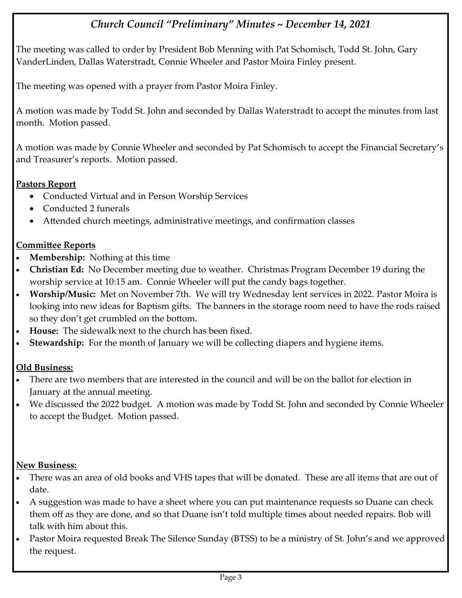### *Church Council "Preliminary" Minutes ~ December 14, 2021*

The meeting was called to order by President Bob Menning with Pat Schomisch, Todd St. John, Gary VanderLinden, Dallas Waterstradt, Connie Wheeler and Pastor Moira Finley present.

The meeting was opened with a prayer from Pastor Moira Finley.

A motion was made by Todd St. John and seconded by Dallas Waterstradt to accept the minutes from last month. Motion passed.

A motion was made by Connie Wheeler and seconded by Pat Schomisch to accept the Financial Secretary's and Treasurer's reports. Motion passed.

### **Pastors Report**

- Conducted Virtual and in Person Worship Services
- Conducted 2 funerals
- Attended church meetings, administrative meetings, and confirmation classes

### **Committee Reports**

- **Membership:** Nothing at this time
- **Christian Ed:** No December meeting due to weather. Christmas Program December 19 during the worship service at 10:15 am. Connie Wheeler will put the candy bags together.
- **Worship/Music:** Met on November 7th. We will try Wednesday lent services in 2022. Pastor Moira is looking into new ideas for Baptism gifts. The banners in the storage room need to have the rods raised so they don't get crumbled on the bottom.
- **House:** The sidewalk next to the church has been fixed.
- **Stewardship:** For the month of January we will be collecting diapers and hygiene items.

### **Old Business:**

- There are two members that are interested in the council and will be on the ballot for election in January at the annual meeting.
- We discussed the 2022 budget. A motion was made by Todd St. John and seconded by Connie Wheeler to accept the Budget. Motion passed.

### **New Business:**

- There was an area of old books and VHS tapes that will be donated. These are all items that are out of date.
- A suggestion was made to have a sheet where you can put maintenance requests so Duane can check them off as they are done, and so that Duane isn't told multiple times about needed repairs. Bob will talk with him about this.
- Pastor Moira requested Break The Silence Sunday (BTSS) to be a ministry of St. John's and we approved the request.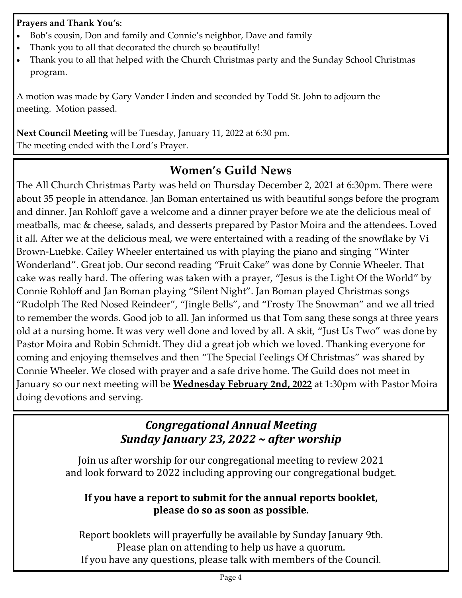### **Prayers and Thank You's**:

- Bob's cousin, Don and family and Connie's neighbor, Dave and family
- Thank you to all that decorated the church so beautifully!
- Thank you to all that helped with the Church Christmas party and the Sunday School Christmas program.

A motion was made by Gary Vander Linden and seconded by Todd St. John to adjourn the meeting. Motion passed.

**Next Council Meeting** will be Tuesday, January 11, 2022 at 6:30 pm. The meeting ended with the Lord's Prayer.

## **Women's Guild News**

The All Church Christmas Party was held on Thursday December 2, 2021 at 6:30pm. There were about 35 people in attendance. Jan Boman entertained us with beautiful songs before the program and dinner. Jan Rohloff gave a welcome and a dinner prayer before we ate the delicious meal of meatballs, mac & cheese, salads, and desserts prepared by Pastor Moira and the attendees. Loved it all. After we at the delicious meal, we were entertained with a reading of the snowflake by Vi Brown-Luebke. Cailey Wheeler entertained us with playing the piano and singing "Winter Wonderland". Great job. Our second reading "Fruit Cake" was done by Connie Wheeler. That cake was really hard. The offering was taken with a prayer, "Jesus is the Light Of the World" by Connie Rohloff and Jan Boman playing "Silent Night". Jan Boman played Christmas songs "Rudolph The Red Nosed Reindeer", "Jingle Bells", and "Frosty The Snowman" and we all tried to remember the words. Good job to all. Jan informed us that Tom sang these songs at three years old at a nursing home. It was very well done and loved by all. A skit, "Just Us Two" was done by Pastor Moira and Robin Schmidt. They did a great job which we loved. Thanking everyone for coming and enjoying themselves and then "The Special Feelings Of Christmas" was shared by Connie Wheeler. We closed with prayer and a safe drive home. The Guild does not meet in January so our next meeting will be **Wednesday February 2nd, 2022** at 1:30pm with Pastor Moira doing devotions and serving.

## *Congregational Annual Meeting Sunday January 23, 2022 ~ after worship*

Join us after worship for our congregational meeting to review 2021 and look forward to 2022 including approving our congregational budget.

### **If you have a report to submit for the annual reports booklet, please do so as soon as possible.**

Report booklets will prayerfully be available by Sunday January 9th. Please plan on attending to help us have a quorum. If you have any questions, please talk with members of the Council.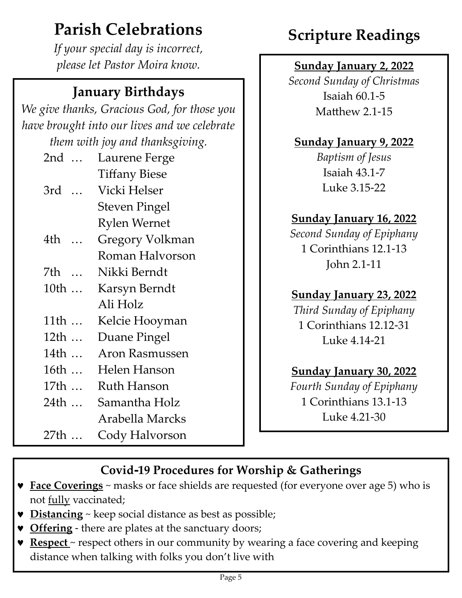# **Parish Celebrations**

*If your special day is incorrect, please let Pastor Moira know.*

## **January Birthdays**

*We give thanks, Gracious God, for those you have brought into our lives and we celebrate them with joy and thanksgiving.*

| 2nd                          | Laurene Ferge          |
|------------------------------|------------------------|
|                              | <b>Tiffany Biese</b>   |
| 3rd                          | Vicki Helser           |
|                              | <b>Steven Pingel</b>   |
|                              | <b>Rylen Wernet</b>    |
| 4th                          | <b>Gregory Volkman</b> |
|                              | Roman Halvorson        |
| 7th<br>$\dddot{\phantom{0}}$ | Nikki Berndt           |
| 10th                         | Karsyn Berndt          |
|                              | Ali Holz               |
| 11th                         | Kelcie Hooyman         |
| 12th                         | Duane Pingel           |
| 14th                         | <b>Aron Rasmussen</b>  |
| 16th                         | Helen Hanson           |
| 17th                         | Ruth Hanson            |
| 24th                         | Samantha Holz          |
|                              | Arabella Marcks        |
| 27th                         | Cody Halvorson         |

# **Scripture Readings**

## **Sunday January 2, 2022**

*Second Sunday of Christmas* Isaiah 60.1-5 Matthew 2.1-15

## **Sunday January 9, 2022**

*Baptism of Jesus* Isaiah 43.1-7 Luke 3.15-22

## **Sunday January 16, 2022**

*Second Sunday of Epiphany* 1 Corinthians 12.1-13 John 2.1-11

## **Sunday January 23, 2022**

*Third Sunday of Epiphany* 1 Corinthians 12.12-31 Luke 4.14-21

## **Sunday January 30, 2022**

*Fourth Sunday of Epiphany* 1 Corinthians 13.1-13 Luke 4.21-30

## **Covid-19 Procedures for Worship & Gatherings**

- **Face Coverings** ~ masks or face shields are requested (for everyone over age 5) who is not fully vaccinated;
- **v** Distancing ~ keep social distance as best as possible;
- **v** Offering there are plates at the sanctuary doors;
- **Respect** ~ respect others in our community by wearing a face covering and keeping distance when talking with folks you don't live with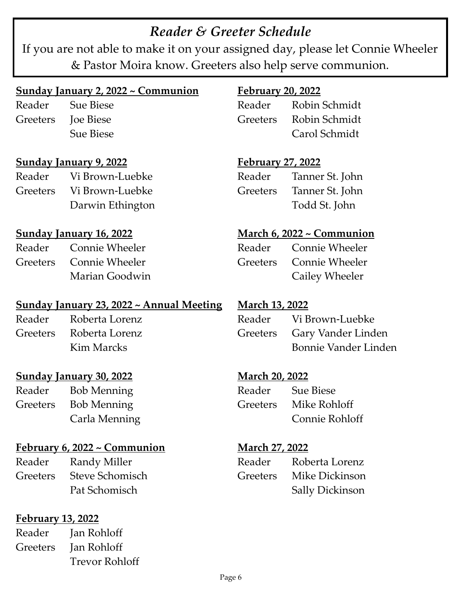## *Reader & Greeter Schedule*

If you are not able to make it on your assigned day, please let Connie Wheeler & Pastor Moira know. Greeters also help serve communion.

### **Sunday January 2, 2022 ~ Communion**

Reader Sue Biese Greeters Joe Biese Sue Biese

**Sunday January 9, 2022**

Reader Vi Brown-Luebke Greeters Vi Brown-Luebke Darwin Ethington

### **Sunday January 16, 2022**

Reader Connie Wheeler Greeters Connie Wheeler Marian Goodwin

### **Sunday January 23, 2022 ~ Annual Meeting**

Reader Roberta Lorenz Greeters Roberta Lorenz Kim Marcks

### **Sunday January 30, 2022**

Reader Bob Menning Greeters Bob Menning Carla Menning

### **February 6, 2022 ~ Communion**

Reader Randy Miller Greeters Steve Schomisch Pat Schomisch

### **February 13, 2022**

Reader Jan Rohloff Greeters Jan Rohloff Trevor Rohloff

### **February 20, 2022**

Reader Robin Schmidt Greeters Robin Schmidt Carol Schmidt

**February 27, 2022**

Reader Tanner St. John Greeters Tanner St. John Todd St. John

### **March 6, 2022 ~ Communion**

| Reader | <b>Connie Wheeler</b>   |
|--------|-------------------------|
|        | Greeters Connie Wheeler |
|        | Cailey Wheeler          |

### **March 13, 2022**

| Reader | Vi Brown-Luebke             |
|--------|-----------------------------|
|        | Greeters Gary Vander Linden |
|        | Bonnie Vander Linden        |

### **March 20, 2022**

| Reader | <b>Sue Biese</b>      |
|--------|-----------------------|
|        | Greeters Mike Rohloff |
|        | Connie Rohloff        |

### **March 27, 2022**

| Reader | Roberta Lorenz          |
|--------|-------------------------|
|        | Greeters Mike Dickinson |
|        | <b>Sally Dickinson</b>  |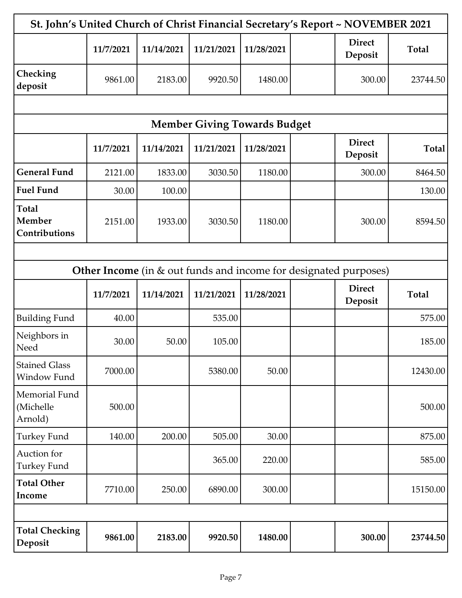| St. John's United Church of Christ Financial Secretary's Report ~ NOVEMBER 2021 |           |            |                                     |            |                                                                         |              |
|---------------------------------------------------------------------------------|-----------|------------|-------------------------------------|------------|-------------------------------------------------------------------------|--------------|
|                                                                                 | 11/7/2021 | 11/14/2021 | 11/21/2021                          | 11/28/2021 | <b>Direct</b><br>Deposit                                                | <b>Total</b> |
| Checking<br>deposit                                                             | 9861.00   | 2183.00    | 9920.50                             | 1480.00    | 300.00                                                                  | 23744.50     |
|                                                                                 |           |            |                                     |            |                                                                         |              |
|                                                                                 |           |            | <b>Member Giving Towards Budget</b> |            |                                                                         |              |
|                                                                                 | 11/7/2021 | 11/14/2021 | 11/21/2021                          | 11/28/2021 | <b>Direct</b><br>Deposit                                                | <b>Total</b> |
| <b>General Fund</b>                                                             | 2121.00   | 1833.00    | 3030.50                             | 1180.00    | 300.00                                                                  | 8464.50      |
| <b>Fuel Fund</b>                                                                | 30.00     | 100.00     |                                     |            |                                                                         | 130.00       |
| <b>Total</b><br>Member<br>Contributions                                         | 2151.00   | 1933.00    | 3030.50                             | 1180.00    | 300.00                                                                  | 8594.50      |
|                                                                                 |           |            |                                     |            |                                                                         |              |
|                                                                                 |           |            |                                     |            | <b>Other Income</b> (in & out funds and income for designated purposes) |              |
|                                                                                 | 11/7/2021 | 11/14/2021 | 11/21/2021                          | 11/28/2021 | <b>Direct</b><br>Deposit                                                | <b>Total</b> |
| <b>Building Fund</b>                                                            | 40.00     |            | 535.00                              |            |                                                                         | 575.00       |
| Neighbors in<br>Need                                                            | 30.00     | 50.00      | 105.00                              |            |                                                                         | 185.00       |
| <b>Stained Glass</b><br>Window Fund                                             | 7000.00   |            | 5380.00                             | 50.00      |                                                                         | 12430.00     |
| Memorial Fund<br>(Michelle<br>Arnold)                                           | 500.00    |            |                                     |            |                                                                         | 500.00       |
| Turkey Fund                                                                     | 140.00    | 200.00     | 505.00                              | 30.00      |                                                                         | 875.00       |
| Auction for<br><b>Turkey Fund</b>                                               |           |            | 365.00                              | 220.00     |                                                                         | 585.00       |
| <b>Total Other</b><br>Income                                                    | 7710.00   | 250.00     | 6890.00                             | 300.00     |                                                                         | 15150.00     |
|                                                                                 |           |            |                                     |            |                                                                         |              |
| <b>Total Checking</b><br>Deposit                                                | 9861.00   | 2183.00    | 9920.50                             | 1480.00    | 300.00                                                                  | 23744.50     |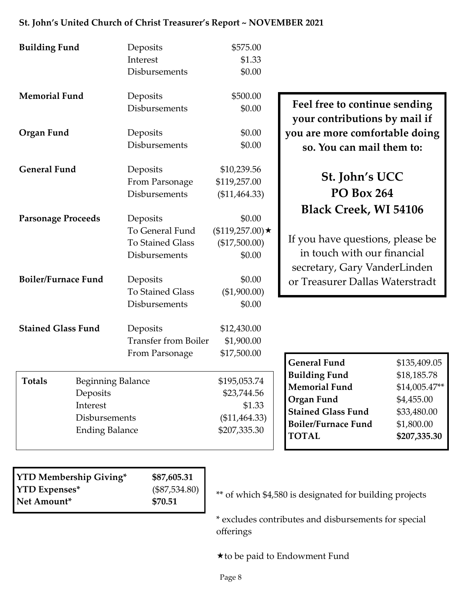| <b>Building Fund</b>       |                          | Deposits                    | \$575.00              |                                  |                |
|----------------------------|--------------------------|-----------------------------|-----------------------|----------------------------------|----------------|
|                            |                          | Interest                    | \$1.33                |                                  |                |
|                            |                          | Disbursements               | \$0.00                |                                  |                |
| <b>Memorial Fund</b>       |                          | Deposits                    | \$500.00              | Feel free to continue sending    |                |
|                            |                          | Disbursements               | \$0.00                | your contributions by mail if    |                |
| Organ Fund                 |                          | Deposits                    | \$0.00                | you are more comfortable doing   |                |
|                            |                          | Disbursements               | \$0.00                | so. You can mail them to:        |                |
| <b>General Fund</b>        |                          | Deposits                    | \$10,239.56           |                                  |                |
|                            |                          | From Parsonage              | \$119,257.00          | St. John's UCC                   |                |
|                            |                          | Disbursements               | (\$11,464.33)         | <b>PO Box 264</b>                |                |
| <b>Parsonage Proceeds</b>  |                          | Deposits                    | \$0.00                | <b>Black Creek, WI 54106</b>     |                |
|                            |                          | To General Fund             | $($119,257.00) \star$ |                                  |                |
|                            |                          | <b>To Stained Glass</b>     | (\$17,500.00)         | If you have questions, please be |                |
|                            |                          |                             |                       | in touch with our financial      |                |
|                            |                          | Disbursements               | \$0.00                | secretary, Gary VanderLinden     |                |
| <b>Boiler/Furnace Fund</b> |                          | Deposits                    | \$0.00                | or Treasurer Dallas Waterstradt  |                |
|                            |                          | <b>To Stained Glass</b>     | (\$1,900.00)          |                                  |                |
|                            |                          | Disbursements               | \$0.00                |                                  |                |
| <b>Stained Glass Fund</b>  |                          | Deposits                    | \$12,430.00           |                                  |                |
|                            |                          | <b>Transfer from Boiler</b> | \$1,900.00            |                                  |                |
|                            |                          | From Parsonage              | \$17,500.00           |                                  |                |
|                            |                          |                             |                       | <b>General Fund</b>              | \$135,409.05   |
|                            |                          |                             |                       | <b>Building Fund</b>             | \$18,185.78    |
| <b>Totals</b>              | <b>Beginning Balance</b> |                             | \$195,053.74          | <b>Memorial Fund</b>             | $$14,005.47**$ |
|                            | Deposits                 |                             | \$23,744.56           | <b>Organ Fund</b>                | \$4,455.00     |
|                            | Interest                 |                             | \$1.33                | <b>Stained Glass Fund</b>        | \$33,480.00    |
|                            | Disbursements            |                             | $(\$11,464.33)$       | <b>Boiler/Furnace Fund</b>       | \$1,800.00     |
|                            | <b>Ending Balance</b>    |                             | \$207,335.30          | <b>TOTAL</b>                     | \$207,335.30   |

### **St. John's United Church of Christ Treasurer's Report ~ NOVEMBER 2021**

| <b>YTD Membership Giving*</b> | \$87,605.31     |
|-------------------------------|-----------------|
| <b>YTD Expenses*</b>          | $(\$87,534.80)$ |
| Net Amount*                   | \$70.51         |
|                               |                 |

\*\* of which \$4,580 is designated for building projects

\* excludes contributes and disbursements for special offerings

to be paid to Endowment Fund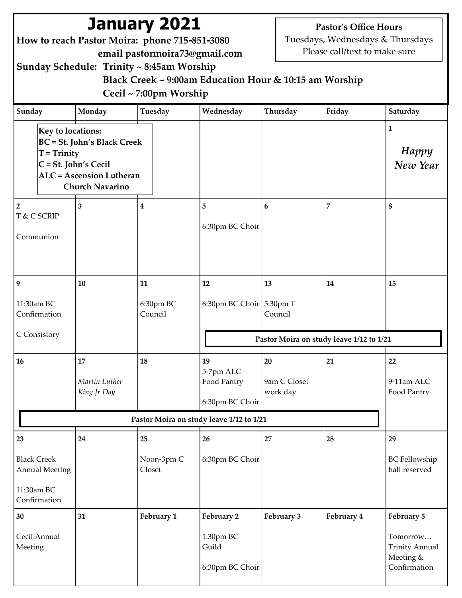|                                                                                 | How to reach Pastor Moira: phone 715-851-3080<br>Sunday Schedule: Trinity ~ 8:45am Worship                                 | <b>January 2021</b><br>email pastormoira73@gmail.com<br>Cecil ~ 7:00pm Worship | Black Creek ~ 9:00am Education Hour & 10:15 am Worship |                                | <b>Pastor's Office Hours</b><br>Please call/text to make sure | Tuesdays, Wednesdays & Thursdays                                             |
|---------------------------------------------------------------------------------|----------------------------------------------------------------------------------------------------------------------------|--------------------------------------------------------------------------------|--------------------------------------------------------|--------------------------------|---------------------------------------------------------------|------------------------------------------------------------------------------|
| Sunday                                                                          | Monday                                                                                                                     | Tuesday                                                                        | Wednesday                                              | Thursday                       | Friday                                                        | Saturday                                                                     |
| <b>Key to locations:</b><br>$T = Trinity$                                       | <b>BC</b> = St. John's Black Creek<br>$ C = St.$ John's Cecil<br><b>ALC</b> = Ascension Lutheran<br><b>Church Navarino</b> |                                                                                |                                                        |                                |                                                               | $\mathbf{1}$<br>Happy<br>New Year                                            |
| $\overline{2}$                                                                  | 3                                                                                                                          | $\boldsymbol{4}$                                                               | 5                                                      | 6                              | 7                                                             | 8                                                                            |
| T & C SCRIP<br>Communion                                                        |                                                                                                                            |                                                                                | 6:30pm BC Choir                                        |                                |                                                               |                                                                              |
| 9                                                                               | 10                                                                                                                         | 11                                                                             | 12                                                     | 13                             | 14                                                            | 15                                                                           |
| 11:30am BC<br>Confirmation                                                      |                                                                                                                            | 6:30pm BC<br>Council                                                           | 6:30pm BC Choir $5:30$ pm T                            | Council                        |                                                               |                                                                              |
| C Consistory                                                                    |                                                                                                                            |                                                                                |                                                        |                                | Pastor Moira on study leave 1/12 to 1/21                      |                                                                              |
| 16                                                                              | 17<br>Martin Luther<br>King Jr Day                                                                                         | 18                                                                             | 19<br>5-7pm ALC<br>Food Pantry<br>6:30pm BC Choir      | 20<br>9am C Closet<br>work day | 21                                                            | 22<br>9-11am ALC<br>Food Pantry                                              |
|                                                                                 |                                                                                                                            |                                                                                | Pastor Moira on study leave 1/12 to 1/21               |                                |                                                               |                                                                              |
| 23<br><b>Black Creek</b><br><b>Annual Meeting</b><br>11:30am BC<br>Confirmation | 24                                                                                                                         | 25<br>Noon-3pm C<br>Closet                                                     | 26<br>6:30pm BC Choir                                  | 27                             | 28                                                            | 29<br><b>BC</b> Fellowship<br>hall reserved                                  |
| 30<br>Cecil Annual<br>Meeting                                                   | 31                                                                                                                         | February 1                                                                     | February 2<br>1:30pm BC<br>Guild<br>6:30pm BC Choir    | February 3                     | February 4                                                    | February 5<br>Tomorrow<br><b>Trinity Annual</b><br>Meeting &<br>Confirmation |